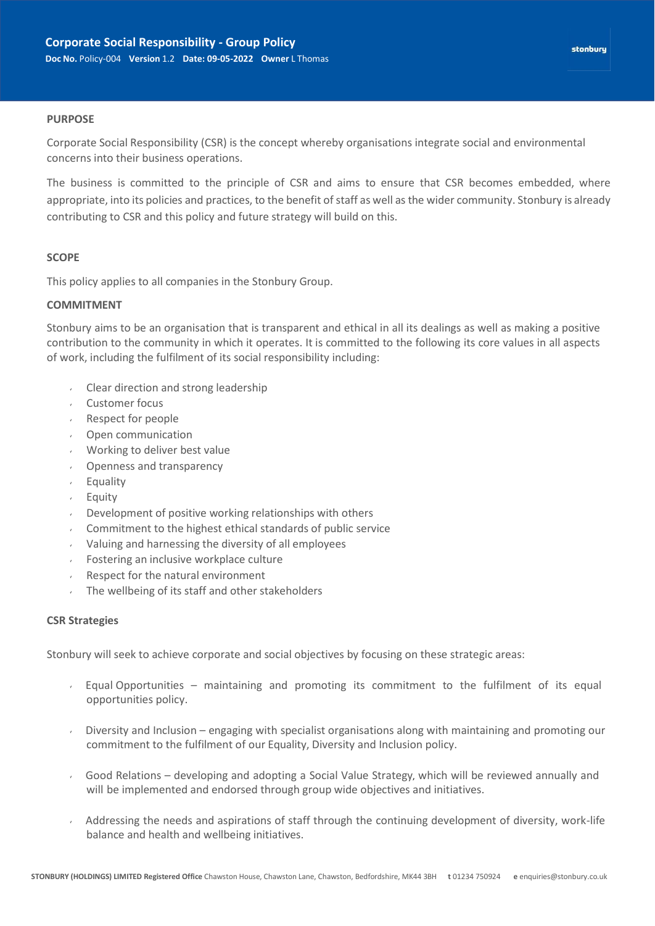#### **PURPOSE**

Corporate Social Responsibility (CSR) is the concept whereby organisations integrate social and environmental concerns into their business operations.

The business is committed to the principle of CSR and aims to ensure that CSR becomes embedded, where appropriate, into its policies and practices, to the benefit of staff as well as the wider community. Stonbury is already contributing to CSR and this policy and future strategy will build on this.

#### **SCOPE**

This policy applies to all companies in the Stonbury Group.

#### **COMMITMENT**

Stonbury aims to be an organisation that is transparent and ethical in all its dealings as well as making a positive contribution to the community in which it operates. It is committed to the following its core values in all aspects of work, including the fulfilment of its social responsibility including:

- Clear direction and strong leadership
- Customer focus
- Respect for people
- Open communication
- Working to deliver best value
- Openness and transparency
- Equality
- Equity
- Development of positive working relationships with others
- Commitment to the highest ethical standards of public service
- Valuing and harnessing the diversity of all employees
- Fostering an inclusive workplace culture
- Respect for the natural environment
- The wellbeing of its staff and other stakeholders

### **CSR Strategies**

Stonbury will seek to achieve corporate and social objectives by focusing on these strategic areas:

- Equal Opportunities maintaining and promoting its commitment to the fulfilment of its equal opportunities policy.
- Diversity and Inclusion engaging with specialist organisations along with maintaining and promoting our  $\mathcal{L}^{\text{max}}$ commitment to the fulfilment of our Equality, Diversity and Inclusion policy.
- Good Relations developing and adopting a Social Value Strategy, which will be reviewed annually and will be implemented and endorsed through group wide objectives and initiatives.
- Addressing the needs and aspirations of staff through the continuing development of diversity, work-life balance and health and wellbeing initiatives.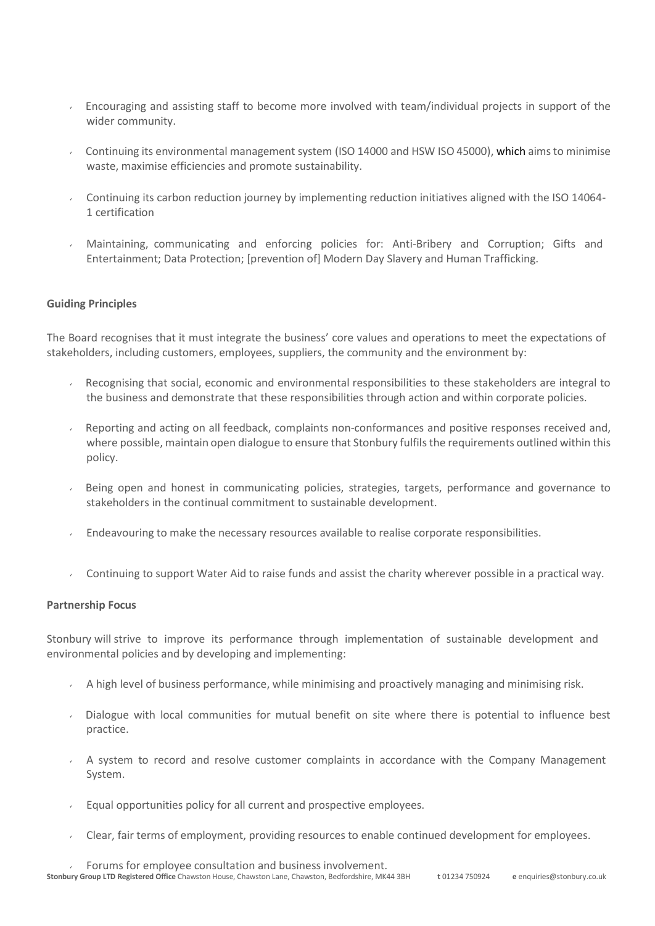- Encouraging and assisting staff to become more involved with team/individual projects in support of the wider community.
- Continuing its environmental management system (ISO 14000 and HSW ISO 45000), which aims to minimise waste, maximise efficiencies and promote sustainability.
- Continuing its carbon reduction journey by implementing reduction initiatives aligned with the ISO 14064- 1 certification
- Maintaining, communicating and enforcing policies for: Anti-Bribery and Corruption; Gifts and Entertainment; Data Protection; [prevention of] Modern Day Slavery and Human Trafficking.

## **Guiding Principles**

The Board recognises that it must integrate the business' core values and operations to meet the expectations of stakeholders, including customers, employees, suppliers, the community and the environment by:

- Recognising that social, economic and environmental responsibilities to these stakeholders are integral to  $\mathbf{v}$ the business and demonstrate that these responsibilities through action and within corporate policies.
- Reporting and acting on all feedback, complaints non-conformances and positive responses received and,  $\epsilon$  . where possible, maintain open dialogue to ensure that Stonbury fulfils the requirements outlined within this policy.
- Being open and honest in communicating policies, strategies, targets, performance and governance to stakeholders in the continual commitment to sustainable development.
- Endeavouring to make the necessary resources available to realise corporate responsibilities.
- Continuing to support Water Aid to raise funds and assist the charity wherever possible in a practical way.

## **Partnership Focus**

Stonbury will strive to improve its performance through implementation of sustainable development and environmental policies and by developing and implementing:

- $\sim$  A high level of business performance, while minimising and proactively managing and minimising risk.
- Dialogue with local communities for mutual benefit on site where there is potential to influence best practice.
- $\sim$  A system to record and resolve customer complaints in accordance with the Company Management System.
- $\epsilon$  Equal opportunities policy for all current and prospective employees.
- Clear, fair terms of employment, providing resources to enable continued development for employees.